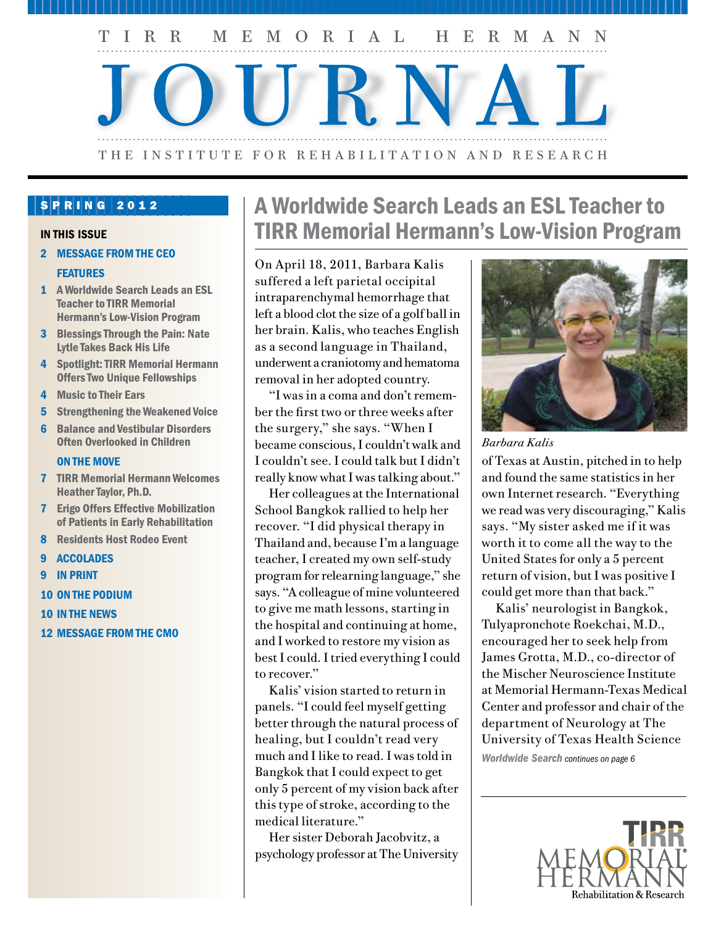

#### SPRING 2012

#### IN THIS ISSUE

- 2 MESSAGE FROM THE CEO **FEATURES**
- 1 A Worldwide Search Leads an ESL Teacher to TIRR Memorial Hermann's Low-Vision Program
- 3 Blessings Through the Pain: Nate Lytle Takes Back His Life
- 4 Spotlight: TIRR Memorial Hermann Offers Two Unique Fellowships
- 4 Music to Their Ears
- 5 Strengthening the Weakened Voice
- 6 Balance and Vestibular Disorders Often Overlooked in Children

#### ON THE MOVE

- 7 TIRR Memorial Hermann Welcomes Heather Taylor, Ph.D.
- 7 Erigo Offers Effective Mobilization of Patients in Early Rehabilitation
- 8 Residents Host Rodeo Event
- 9 ACCOLADES
- 9 IN PRINT
- 10 ON THE PODIUM
- 10 IN THE NEWS
- 12 MESSAGE FROM THE CMO

# A Worldwide Search Leads an ESL Teacher to TIRR Memorial Hermann's Low-Vision Program

On April 18, 2011, Barbara Kalis suffered a left parietal occipital intraparenchymal hemorrhage that left a blood clot the size of a golf ball in her brain. Kalis, who teaches English as a second language in Thailand, underwent a craniotomy and hematoma removal in her adopted country.

"I was in a coma and don't remember the first two or three weeks after the surgery," she says. "When I became conscious, I couldn't walk and I couldn't see. I could talk but I didn't really know what I was talking about."

Her colleagues at the International School Bangkok rallied to help her recover. "I did physical therapy in Thailand and, because I'm a language teacher, I created my own self-study program for relearning language," she says. "A colleague of mine volunteered to give me math lessons, starting in the hospital and continuing at home, and I worked to restore my vision as best I could. I tried everything I could to recover."

Kalis' vision started to return in panels. "I could feel myself getting better through the natural process of healing, but I couldn't read very much and I like to read. I was told in Bangkok that I could expect to get only 5 percent of my vision back after this type of stroke, according to the medical literature."

Her sister Deborah Jacobvitz, a psychology professor at The University



*Barbara Kalis*

of Texas at Austin, pitched in to help and found the same statistics in her own Internet research. "Everything we read was very discouraging," Kalis says. "My sister asked me if it was worth it to come all the way to the United States for only a 5 percent return of vision, but I was positive I could get more than that back."

Kalis' neurologist in Bangkok, Tulyapronchote Roekchai, M.D., encouraged her to seek help from James Grotta, M.D., co-director of the Mischer Neuroscience Institute at Memorial Hermann-Texas Medical Center and professor and chair of the department of Neurology at The University of Texas Health Science

*Worldwide Search continues on page 6*

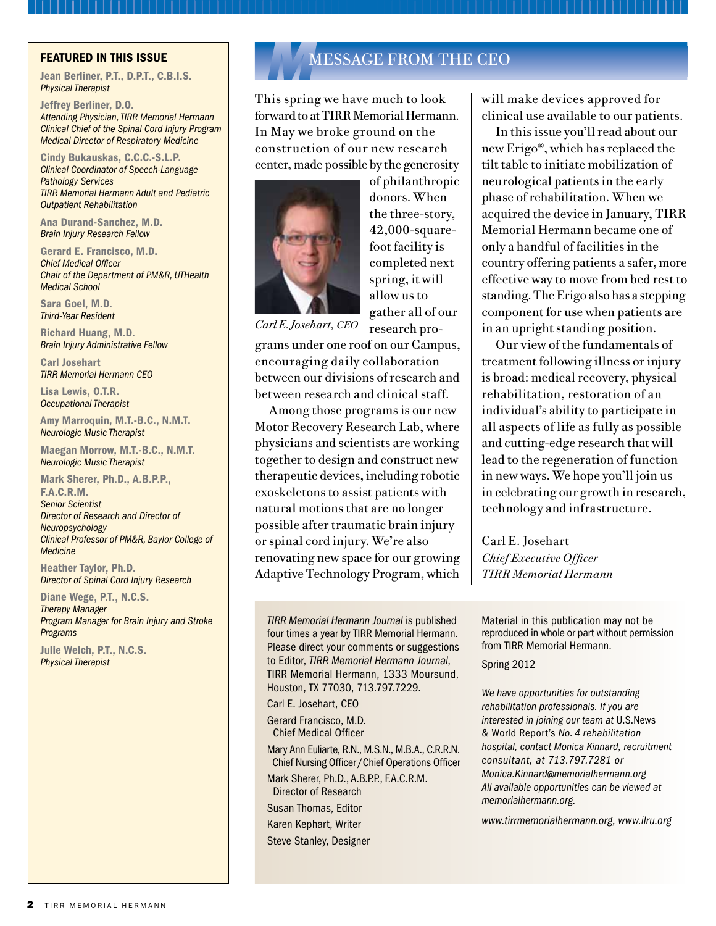Jean Berliner, P.T., D.P.T., C.B.I.S. *Physical Therapist*

Jeffrey Berliner, D.O. *Attending Physician, TIRR Memorial Hermann Clinical Chief of the Spinal Cord Injury Program Medical Director of Respiratory Medicine*

Cindy Bukauskas, C.C.C.-S.L.P. *Clinical Coordinator of Speech-Language Pathology Services TIRR Memorial Hermann Adult and Pediatric Outpatient Rehabilitation*

Ana Durand-Sanchez, M.D. *Brain Injury Research Fellow*

Gerard E. Francisco, M.D. *Chief Medical Officer Chair of the Department of PM&R, UTHealth Medical School*

Sara Goel, M.D. *Third-Year Resident*

Richard Huang, M.D. *Brain Injury Administrative Fellow*

Carl Josehart *TIRR Memorial Hermann CEO*

Lisa Lewis, O.T.R. *Occupational Therapist*

Amy Marroquin, M.T.-B.C., N.M.T. *Neurologic Music Therapist*

Maegan Morrow, M.T.-B.C., N.M.T. *Neurologic Music Therapist*

Mark Sherer, Ph.D., A.B.P.P., F.A.C.R.M. *Senior Scientist Director of Research and Director of Neuropsychology Clinical Professor of PM&R, Baylor College of Medicine*

Heather Taylor, Ph.D. *Director of Spinal Cord Injury Research*

Diane Wege, P.T., N.C.S. *Therapy Manager Program Manager for Brain Injury and Stroke Programs*

Julie Welch, P.T., N.C.S. *Physical Therapist*

## FEATURED IN THIS ISSUE **MULTIPLE IN THE AND ALL AND MESSAGE FROM THE CEO**

This spring we have much to look forward to at TIRR Memorial Hermann. In May we broke ground on the construction of our new research center, made possible by the generosity



of philanthropic donors. When the three-story, 42,000-squarefoot facility is completed next spring, it will allow us to gather all of our research pro-

*Carl E. Josehart, CEO*

grams under one roof on our Campus, encouraging daily collaboration between our divisions of research and between research and clinical staff.

Among those programs is our new Motor Recovery Research Lab, where physicians and scientists are working together to design and construct new therapeutic devices, including robotic exoskeletons to assist patients with natural motions that are no longer possible after traumatic brain injury or spinal cord injury. We're also renovating new space for our growing Adaptive Technology Program, which

*TIRR Memorial Hermann Journal* is published four times a year by TIRR Memorial Hermann. Please direct your comments or suggestions to Editor, *TIRR Memorial Hermann Journal*, TIRR Memorial Hermann, 1333 Moursund, Houston, TX 77030, 713.797.7229.

Carl E. Josehart, CEO

Gerard Francisco, M.D. Chief Medical Officer

Mary Ann Euliarte, R.N., M.S.N., M.B.A., C.R.R.N. Chief Nursing Officer /Chief Operations Officer

Mark Sherer, Ph.D., A.B.P.P., F.A.C.R.M. Director of Research

Susan Thomas, Editor

Karen Kephart, Writer

Steve Stanley, Designer

will make devices approved for clinical use available to our patients.

In this issue you'll read about our new Erigo®, which has replaced the tilt table to initiate mobilization of neurological patients in the early phase of rehabilitation. When we acquired the device in January, TIRR Memorial Hermann became one of only a handful of facilities in the country offering patients a safer, more effective way to move from bed rest to standing. The Erigo also has a stepping component for use when patients are in an upright standing position.

Our view of the fundamentals of treatment following illness or injury is broad: medical recovery, physical rehabilitation, restoration of an individual's ability to participate in all aspects of life as fully as possible and cutting-edge research that will lead to the regeneration of function in new ways. We hope you'll join us in celebrating our growth in research, technology and infrastructure.

Carl E. Josehart *Chief Executive Officer TIRR Memorial Hermann*

Material in this publication may not be reproduced in whole or part without permission from TIRR Memorial Hermann.

Spring 2012

*We have opportunities for outstanding rehabilitation professionals. If you are interested in joining our team at* U.S.News & World Report's *No. 4 rehabilitation hospital, contact Monica Kinnard, recruitment consultant, at 713.797.7281 or Monica.Kinnard@memorialhermann.org All available opportunities can be viewed at memorialhermann.org.*

*www.tirrmemorialhermann.org, www.ilru.org*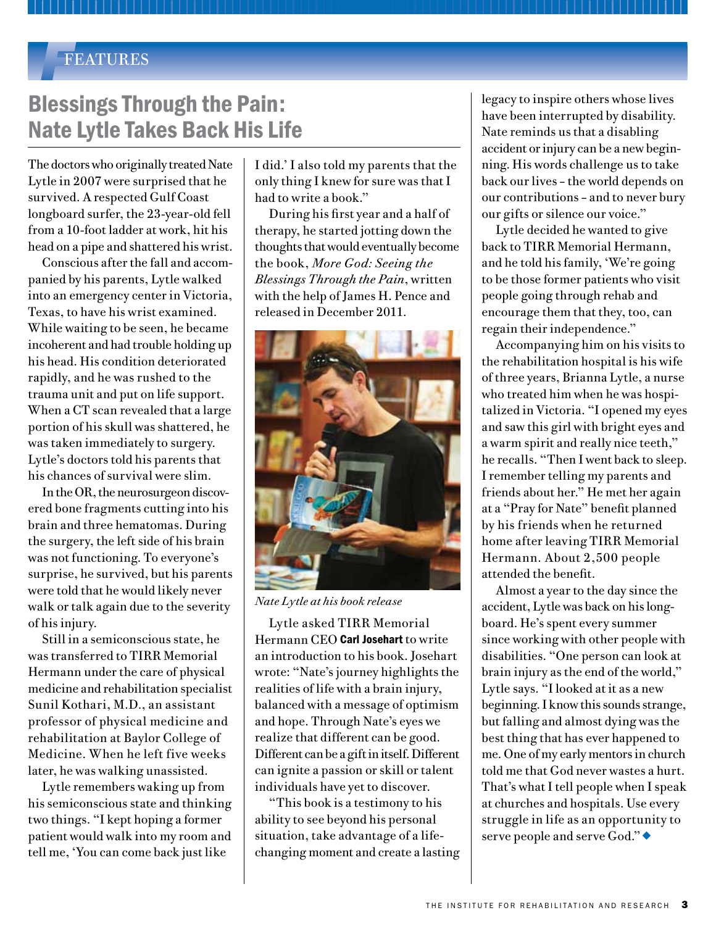#### *F*FEATURES

## Blessings Through the Pain: Nate Lytle Takes Back His Life

The doctors who originally treated Nate Lytle in 2007 were surprised that he survived. A respected Gulf Coast longboard surfer, the 23-year-old fell from a 10-foot ladder at work, hit his head on a pipe and shattered his wrist.

Conscious after the fall and accompanied by his parents, Lytle walked into an emergency center in Victoria, Texas, to have his wrist examined. While waiting to be seen, he became incoherent and had trouble holding up his head. His condition deteriorated rapidly, and he was rushed to the trauma unit and put on life support. When a CT scan revealed that a large portion of his skull was shattered, he was taken immediately to surgery. Lytle's doctors told his parents that his chances of survival were slim.

In the OR, the neurosurgeon discovered bone fragments cutting into his brain and three hematomas. During the surgery, the left side of his brain was not functioning. To everyone's surprise, he survived, but his parents were told that he would likely never walk or talk again due to the severity of his injury.

Still in a semiconscious state, he was transferred to TIRR Memorial Hermann under the care of physical medicine and rehabilitation specialist Sunil Kothari, M.D., an assistant professor of physical medicine and rehabilitation at Baylor College of Medicine. When he left five weeks later, he was walking unassisted.

Lytle remembers waking up from his semiconscious state and thinking two things. "I kept hoping a former patient would walk into my room and tell me, 'You can come back just like

I did.' I also told my parents that the only thing I knew for sure was that I had to write a book."

During his first year and a half of therapy, he started jotting down the thoughts that would eventually become the book, *More God: Seeing the Blessings Through the Pain*, written with the help of James H. Pence and released in December 2011.



*Nate Lytle at his book release*

Lytle asked TIRR Memorial Hermann CEO Carl Josehart to write an introduction to his book. Josehart wrote: "Nate's journey highlights the realities of life with a brain injury, balanced with a message of optimism and hope. Through Nate's eyes we realize that different can be good. Different can be a gift in itself. Different can ignite a passion or skill or talent individuals have yet to discover.

"This book is a testimony to his ability to see beyond his personal situation, take advantage of a lifechanging moment and create a lasting legacy to inspire others whose lives have been interrupted by disability. Nate reminds us that a disabling accident or injury can be a new beginning. His words challenge us to take back our lives – the world depends on our contributions – and to never bury our gifts or silence our voice."

Lytle decided he wanted to give back to TIRR Memorial Hermann, and he told his family, 'We're going to be those former patients who visit people going through rehab and encourage them that they, too, can regain their independence."

Accompanying him on his visits to the rehabilitation hospital is his wife of three years, Brianna Lytle, a nurse who treated him when he was hospitalized in Victoria. "I opened my eyes and saw this girl with bright eyes and a warm spirit and really nice teeth," he recalls. "Then I went back to sleep. I remember telling my parents and friends about her." He met her again at a "Pray for Nate" benefit planned by his friends when he returned home after leaving TIRR Memorial Hermann. About 2,500 people attended the benefit.

Almost a year to the day since the accident, Lytle was back on his longboard. He's spent every summer since working with other people with disabilities. "One person can look at brain injury as the end of the world," Lytle says. "I looked at it as a new beginning. I know this sounds strange, but falling and almost dying was the best thing that has ever happened to me. One of my early mentors in church told me that God never wastes a hurt. That's what I tell people when I speak at churches and hospitals. Use every struggle in life as an opportunity to serve people and serve God." $\bullet$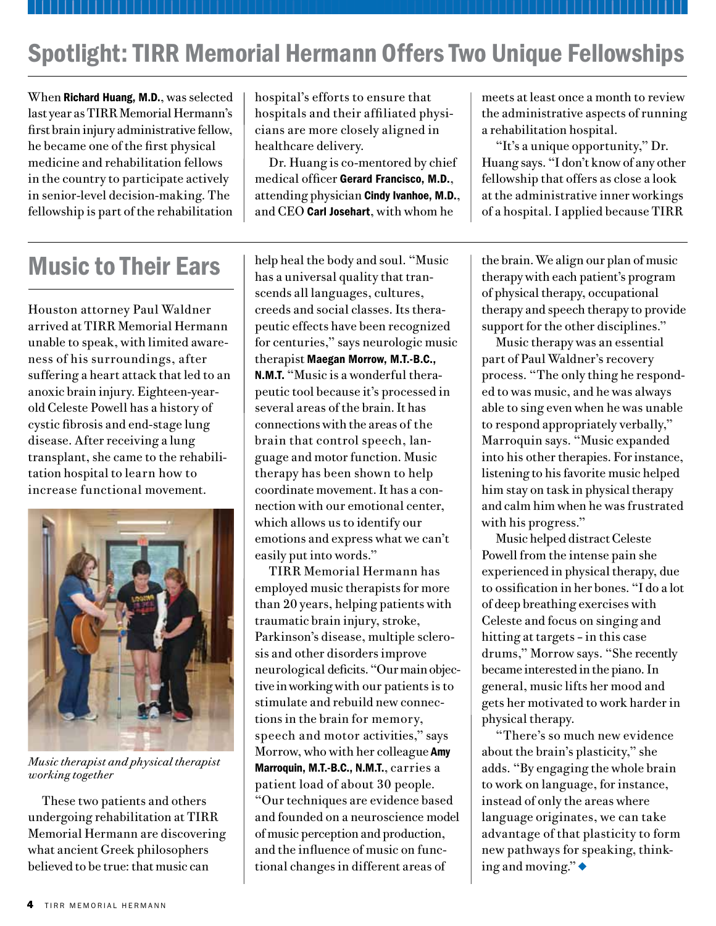# Spotlight: TIRR Memorial Hermann Offers Two Unique Fellowships

When Richard Huang, M.D., was selected last year as TIRR Memorial Hermann's first brain injury administrative fellow, he became one of the first physical medicine and rehabilitation fellows in the country to participate actively in senior-level decision-making. The fellowship is part of the rehabilitation hospital's efforts to ensure that hospitals and their affiliated physicians are more closely aligned in healthcare delivery.

Dr. Huang is co-mentored by chief medical officer Gerard Francisco, M.D., attending physician Cindy Ivanhoe, M.D., and CEO Carl Josehart, with whom he

meets at least once a month to review the administrative aspects of running a rehabilitation hospital.

"It's a unique opportunity," Dr. Huang says. "I don't know of any other fellowship that offers as close a look at the administrative inner workings of a hospital. I applied because TIRR

Houston attorney Paul Waldner arrived at TIRR Memorial Hermann unable to speak, with limited awareness of his surroundings, after suffering a heart attack that led to an anoxic brain injury. Eighteen-yearold Celeste Powell has a history of cystic fibrosis and end-stage lung disease. After receiving a lung transplant, she came to the rehabilitation hospital to learn how to increase functional movement.



*Music therapist and physical therapist working together*

These two patients and others undergoing rehabilitation at TIRR Memorial Hermann are discovering what ancient Greek philosophers believed to be true: that music can

help heal the body and soul. "Music has a universal quality that transcends all languages, cultures, creeds and social classes. Its therapeutic effects have been recognized for centuries," says neurologic music therapist Maegan Morrow, M.T.-B.C., N.M.T. "Music is a wonderful therapeutic tool because it's processed in several areas of the brain. It has connections with the areas of the brain that control speech, language and motor function. Music therapy has been shown to help coordinate movement. It has a connection with our emotional center, which allows us to identify our emotions and express what we can't easily put into words." **Music to Their Ears**  $\left| \begin{array}{c} \text{help head the body and soul. "Music} \\ \text{t} \end{array} \right|$  the brain. We align our plan of music

> TIRR Memorial Hermann has employed music therapists for more than 20 years, helping patients with traumatic brain injury, stroke, Parkinson's disease, multiple sclerosis and other disorders improve neurological deficits. "Our main objective in working with our patients is to stimulate and rebuild new connections in the brain for memory, speech and motor activities," says Morrow, who with her colleague Amy Marroquin, M.T.-B.C., N.M.T., carries a patient load of about 30 people. "Our techniques are evidence based and founded on a neuroscience model of music perception and production, and the influence of music on functional changes in different areas of

therapy with each patient's program of physical therapy, occupational therapy and speech therapy to provide support for the other disciplines."

Music therapy was an essential part of Paul Waldner's recovery process. "The only thing he responded to was music, and he was always able to sing even when he was unable to respond appropriately verbally," Marroquin says. "Music expanded into his other therapies. For instance, listening to his favorite music helped him stay on task in physical therapy and calm him when he was frustrated with his progress."

Music helped distract Celeste Powell from the intense pain she experienced in physical therapy, due to ossification in her bones. "I do a lot of deep breathing exercises with Celeste and focus on singing and hitting at targets – in this case drums," Morrow says. "She recently became interested in the piano. In general, music lifts her mood and gets her motivated to work harder in physical therapy.

"There's so much new evidence about the brain's plasticity," she adds. "By engaging the whole brain to work on language, for instance, instead of only the areas where language originates, we can take advantage of that plasticity to form new pathways for speaking, thinking and moving." $\bullet$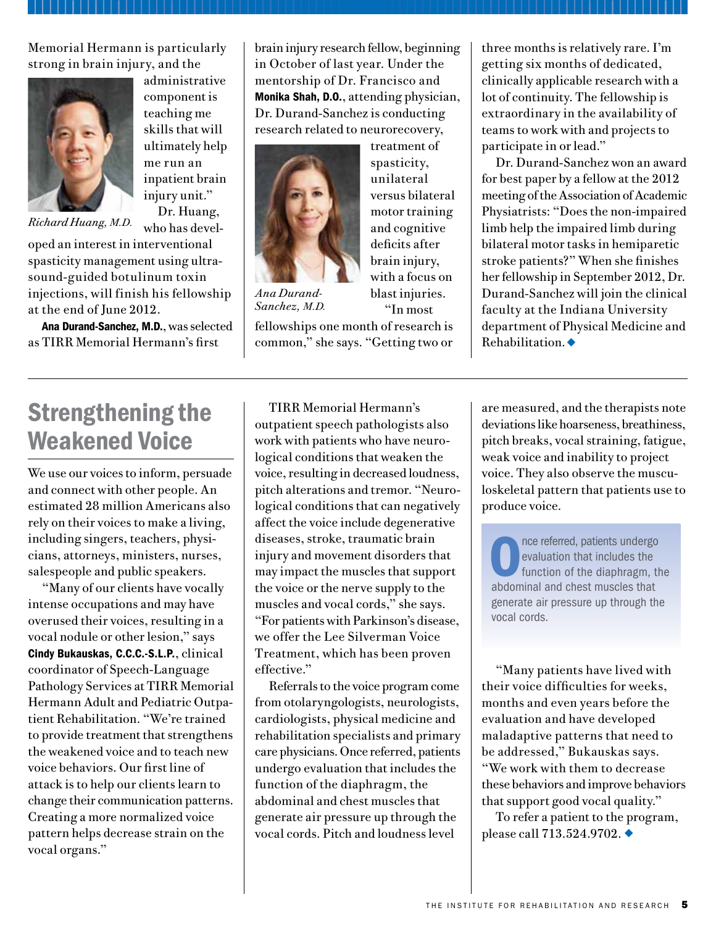Memorial Hermann is particularly strong in brain injury, and the



administrative component is teaching me skills that will ultimately help me run an inpatient brain injury unit." Dr. Huang,

*Richard Huang, M.D.*

who has developed an interest in interventional spasticity management using ultrasound-guided botulinum toxin injections, will finish his fellowship at the end of June 2012.

Ana Durand-Sanchez, M.D., was selected as TIRR Memorial Hermann's first

brain injury research fellow, beginning in October of last year. Under the mentorship of Dr. Francisco and Monika Shah, D.O., attending physician, Dr. Durand-Sanchez is conducting research related to neurorecovery,

> treatment of spasticity, unilateral versus bilateral motor training and cognitive deficits after brain injury, with a focus on blast injuries. "In most



*Ana Durand-Sanchez, M.D.*

fellowships one month of research is common," she says. "Getting two or

Strengthening the Weakened Voice We use our voices to inform, persuade and connect with other people. An estimated 28 million Americans also

rely on their voices to make a living, including singers, teachers, physicians, attorneys, ministers, nurses, salespeople and public speakers.

"Many of our clients have vocally intense occupations and may have overused their voices, resulting in a vocal nodule or other lesion," says Cindy Bukauskas, C.C.C.-S.L.P., clinical coordinator of Speech-Language Pathology Services at TIRR Memorial Hermann Adult and Pediatric Outpatient Rehabilitation. "We're trained to provide treatment that strengthens the weakened voice and to teach new voice behaviors. Our first line of attack is to help our clients learn to change their communication patterns. Creating a more normalized voice pattern helps decrease strain on the vocal organs."

TIRR Memorial Hermann's outpatient speech pathologists also work with patients who have neurological conditions that weaken the voice, resulting in decreased loudness, pitch alterations and tremor. "Neurological conditions that can negatively affect the voice include degenerative diseases, stroke, traumatic brain injury and movement disorders that may impact the muscles that support the voice or the nerve supply to the muscles and vocal cords," she says. "For patients with Parkinson's disease, we offer the Lee Silverman Voice Treatment, which has been proven effective."

Referrals to the voice program come from otolaryngologists, neurologists, cardiologists, physical medicine and rehabilitation specialists and primary care physicians. Once referred, patients undergo evaluation that includes the function of the diaphragm, the abdominal and chest muscles that generate air pressure up through the vocal cords. Pitch and loudness level

three months is relatively rare. I'm getting six months of dedicated, clinically applicable research with a lot of continuity. The fellowship is extraordinary in the availability of teams to work with and projects to participate in or lead."

Dr. Durand-Sanchez won an award for best paper by a fellow at the 2012 meeting of the Association of Academic Physiatrists: "Does the non-impaired limb help the impaired limb during bilateral motor tasks in hemiparetic stroke patients?" When she finishes her fellowship in September 2012, Dr. Durand-Sanchez will join the clinical faculty at the Indiana University department of Physical Medicine and  $Rehabilitation.$ 

are measured, and the therapists note deviations like hoarseness, breathiness, pitch breaks, vocal straining, fatigue, weak voice and inability to project voice. They also observe the musculoskeletal pattern that patients use to produce voice.

Once referred, patients undergo<br>
evaluation that includes the<br>
function of the diaphragm, the<br>
abdominal and chest muscles that evaluation that includes the function of the diaphragm, the abdominal and chest muscles that generate air pressure up through the vocal cords.

"Many patients have lived with their voice difficulties for weeks, months and even years before the evaluation and have developed maladaptive patterns that need to be addressed," Bukauskas says. "We work with them to decrease these behaviors and improve behaviors that support good vocal quality."

To refer a patient to the program, please call  $713.524.9702$ .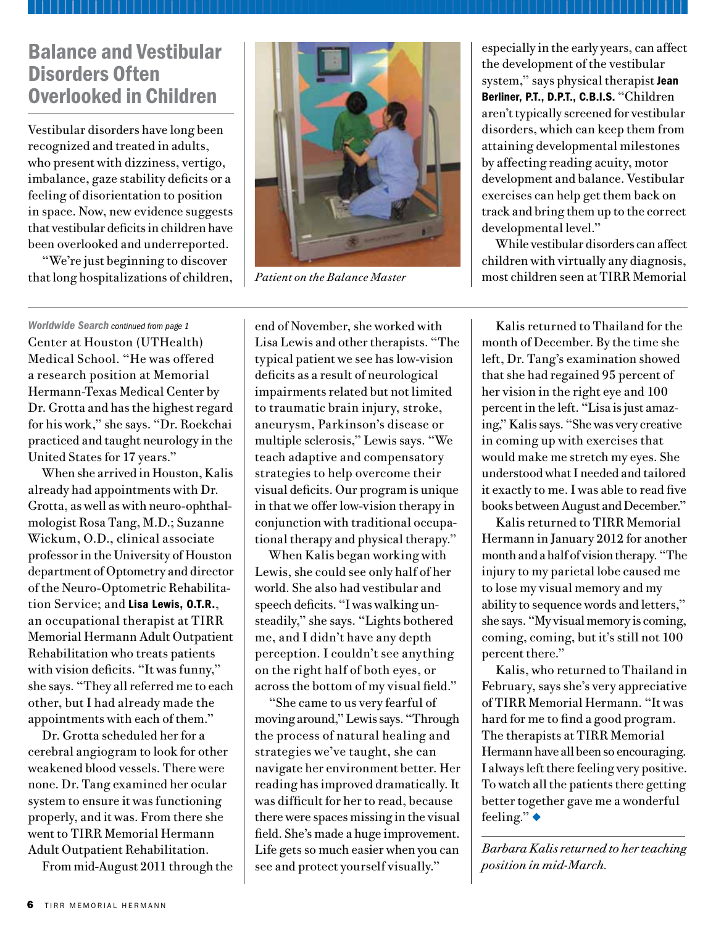## Balance and Vestibular Disorders Often Overlooked in Children

Vestibular disorders have long been recognized and treated in adults, who present with dizziness, vertigo, imbalance, gaze stability deficits or a feeling of disorientation to position in space. Now, new evidence suggests that vestibular deficits in children have been overlooked and underreported.

"We're just beginning to discover that long hospitalizations of children, *Patient on the Balance Master*



especially in the early years, can affect the development of the vestibular system," says physical therapist Jean Berliner, P.T., D.P.T., C.B.I.S. "Children aren't typically screened for vestibular disorders, which can keep them from attaining developmental milestones by affecting reading acuity, motor development and balance. Vestibular exercises can help get them back on track and bring them up to the correct developmental level."

While vestibular disorders can affect children with virtually any diagnosis, most children seen at TIRR Memorial

Center at Houston (UTHealth) Medical School. "He was offered a research position at Memorial Hermann-Texas Medical Center by Dr. Grotta and has the highest regard for his work," she says. "Dr. Roekchai practiced and taught neurology in the United States for 17 years."

When she arrived in Houston, Kalis already had appointments with Dr. Grotta, as well as with neuro-ophthalmologist Rosa Tang, M.D.; Suzanne Wickum, O.D., clinical associate professor in the University of Houston department of Optometry and director of the Neuro-Optometric Rehabilitation Service; and Lisa Lewis, O.T.R., an occupational therapist at TIRR Memorial Hermann Adult Outpatient Rehabilitation who treats patients with vision deficits. "It was funny," she says. "They all referred me to each other, but I had already made the appointments with each of them."

Dr. Grotta scheduled her for a cerebral angiogram to look for other weakened blood vessels. There were none. Dr. Tang examined her ocular system to ensure it was functioning properly, and it was. From there she went to TIRR Memorial Hermann Adult Outpatient Rehabilitation.

From mid-August 2011 through the

end of November, she worked with Lisa Lewis and other therapists. "The typical patient we see has low-vision deficits as a result of neurological impairments related but not limited to traumatic brain injury, stroke, aneurysm, Parkinson's disease or multiple sclerosis," Lewis says. "We teach adaptive and compensatory strategies to help overcome their visual deficits. Our program is unique in that we offer low-vision therapy in conjunction with traditional occupational therapy and physical therapy." *Worldwide Search continued from page 1* end of November, she worked with Kalis returned to Thailand for the

When Kalis began working with Lewis, she could see only half of her world. She also had vestibular and speech deficits. "I was walking unsteadily," she says. "Lights bothered me, and I didn't have any depth perception. I couldn't see anything on the right half of both eyes, or across the bottom of my visual field."

"She came to us very fearful of moving around," Lewis says. "Through the process of natural healing and strategies we've taught, she can navigate her environment better. Her reading has improved dramatically. It was difficult for her to read, because there were spaces missing in the visual field. She's made a huge improvement. Life gets so much easier when you can see and protect yourself visually."

month of December. By the time she left, Dr. Tang's examination showed that she had regained 95 percent of her vision in the right eye and 100 percent in the left. "Lisa is just amazing," Kalis says. "She was very creative in coming up with exercises that would make me stretch my eyes. She understood what I needed and tailored it exactly to me. I was able to read five books between August and December."

Kalis returned to TIRR Memorial Hermann in January 2012 for another month and a half of vision therapy. "The injury to my parietal lobe caused me to lose my visual memory and my ability to sequence words and letters," she says. "My visual memory is coming, coming, coming, but it's still not 100 percent there."

Kalis, who returned to Thailand in February, says she's very appreciative of TIRR Memorial Hermann. "It was hard for me to find a good program. The therapists at TIRR Memorial Hermann have all been so encouraging. I always left there feeling very positive. To watch all the patients there getting better together gave me a wonderful feeling." $\bullet$ 

*Barbara Kalis returned to her teaching position in mid-March.*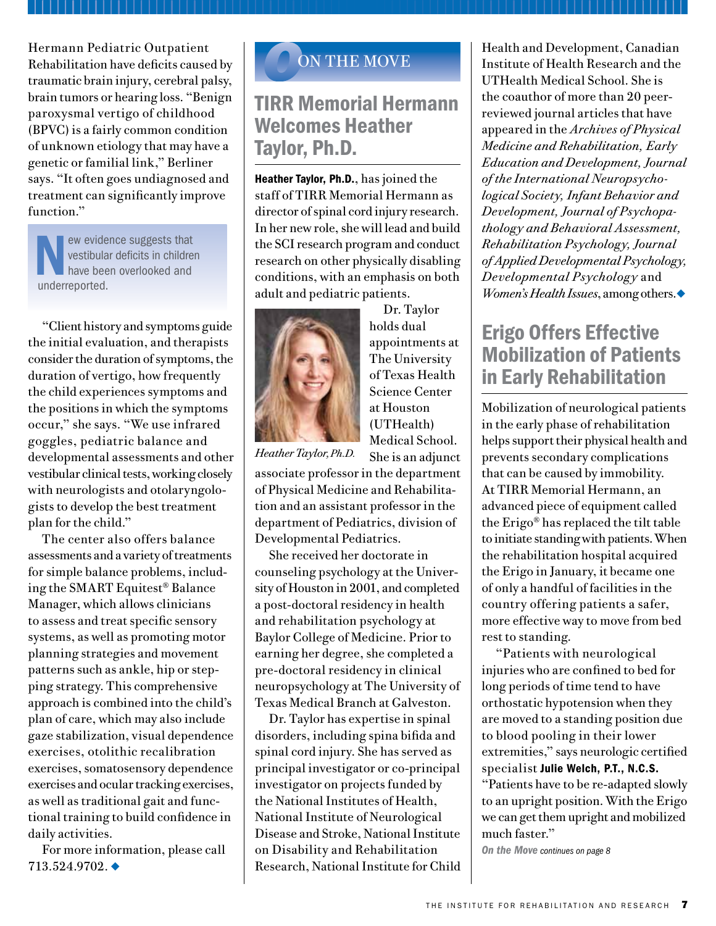Hermann Pediatric Outpatient Rehabilitation have deficits caused by traumatic brain injury, cerebral palsy, brain tumors or hearing loss. "Benign paroxysmal vertigo of childhood (BPVC) is a fairly common condition of unknown etiology that may have a genetic or familial link," Berliner says. "It often goes undiagnosed and treatment can significantly improve function."

New evidence suggests that<br>
vestibular deficits in children<br>
have been overlooked and<br>
underrenorted vestibular deficits in children have been overlooked and underreported.

"Client history and symptoms guide the initial evaluation, and therapists consider the duration of symptoms, the duration of vertigo, how frequently the child experiences symptoms and the positions in which the symptoms occur," she says. "We use infrared goggles, pediatric balance and developmental assessments and other vestibular clinical tests, working closely with neurologists and otolaryngologists to develop the best treatment plan for the child."

The center also offers balance assessments and a variety of treatments for simple balance problems, including the SMART Equitest® Balance Manager, which allows clinicians to assess and treat specific sensory systems, as well as promoting motor planning strategies and movement patterns such as ankle, hip or stepping strategy. This comprehensive approach is combined into the child's plan of care, which may also include gaze stabilization, visual dependence exercises, otolithic recalibration exercises, somatosensory dependence exercises and ocular tracking exercises, as well as traditional gait and functional training to build confidence in daily activities.

For more information, please call  $713.524.9702.$ 

## *O*ON THE MOVE

## TIRR Memorial Hermann Welcomes Heather Taylor, Ph.D.

Heather Taylor, Ph.D., has joined the staff of TIRR Memorial Hermann as director of spinal cord injury research. In her new role, she will lead and build the SCI research program and conduct research on other physically disabling conditions, with an emphasis on both adult and pediatric patients.



Dr. Taylor holds dual appointments at The University of Texas Health Science Center at Houston (UTHealth) Medical School. She is an adjunct

*Heather Taylor, Ph.D.*

associate professor in the department of Physical Medicine and Rehabilitation and an assistant professor in the department of Pediatrics, division of Developmental Pediatrics.

She received her doctorate in counseling psychology at the University of Houston in 2001, and completed a post-doctoral residency in health and rehabilitation psychology at Baylor College of Medicine. Prior to earning her degree, she completed a pre-doctoral residency in clinical neuropsychology at The University of Texas Medical Branch at Galveston.

Dr. Taylor has expertise in spinal disorders, including spina bifida and spinal cord injury. She has served as principal investigator or co-principal investigator on projects funded by the National Institutes of Health, National Institute of Neurological Disease and Stroke, National Institute on Disability and Rehabilitation Research, National Institute for Child Health and Development, Canadian Institute of Health Research and the UTHealth Medical School. She is the coauthor of more than 20 peerreviewed journal articles that have appeared in the *Archives of Physical Medicine and Rehabilitation, Early Education and Development, Journal of the International Neuropsychological Society, Infant Behavior and Development, Journal of Psychopathology and Behavioral Assessment, Rehabilitation Psychology, Journal of Applied Developmental Psychology, Developmental Psychology* and *Women's Health Issues*, among others.

## Erigo Offers Effective Mobilization of Patients in Early Rehabilitation

Mobilization of neurological patients in the early phase of rehabilitation helps support their physical health and prevents secondary complications that can be caused by immobility. At TIRR Memorial Hermann, an advanced piece of equipment called the Erigo® has replaced the tilt table to initiate standing with patients. When the rehabilitation hospital acquired the Erigo in January, it became one of only a handful of facilities in the country offering patients a safer, more effective way to move from bed rest to standing.

"Patients with neurological injuries who are confined to bed for long periods of time tend to have orthostatic hypotension when they are moved to a standing position due to blood pooling in their lower extremities," says neurologic certified specialist Julie Welch, P.T., N.C.S. "Patients have to be re-adapted slowly to an upright position. With the Erigo we can get them upright and mobilized much faster."

*On the Move continues on page 8*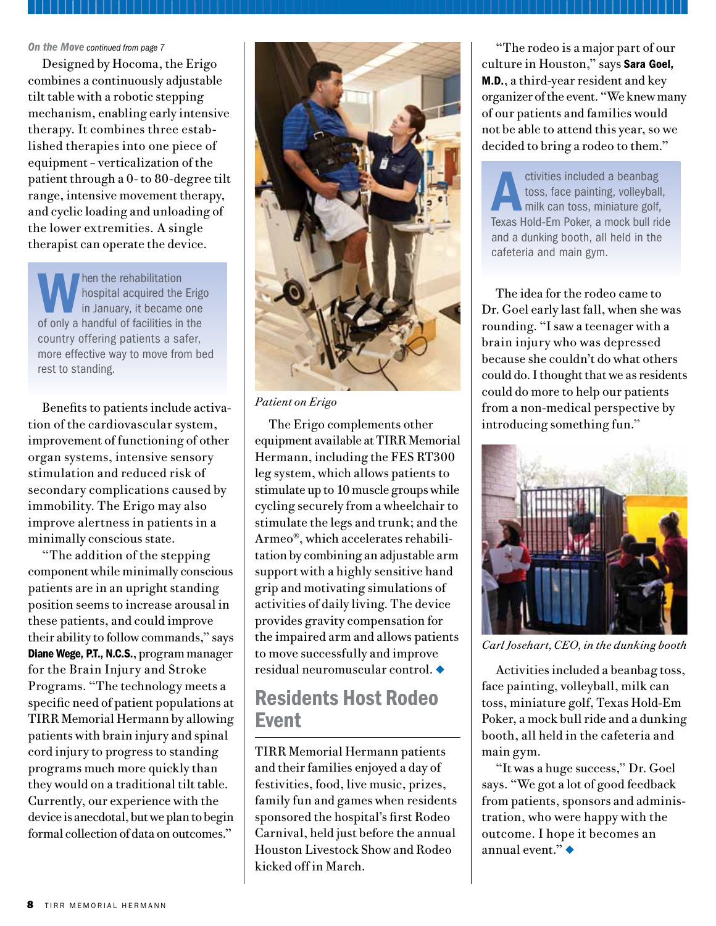Designed by Hocoma, the Erigo combines a continuously adjustable tilt table with a robotic stepping mechanism, enabling early intensive therapy. It combines three established therapies into one piece of equipment – verticalization of the patient through a 0- to 80-degree tilt range, intensive movement therapy, and cyclic loading and unloading of the lower extremities. A single therapist can operate the device.

When the rehabilitation<br>hospital acquired the<br>in January, it became<br>of only a handful of facilities in hospital acquired the Erigo in January, it became one of only a handful of facilities in the country offering patients a safer, more effective way to move from bed rest to standing.

Benefits to patients include activation of the cardiovascular system, improvement of functioning of other organ systems, intensive sensory stimulation and reduced risk of secondary complications caused by immobility. The Erigo may also improve alertness in patients in a minimally conscious state.

"The addition of the stepping component while minimally conscious patients are in an upright standing position seems to increase arousal in these patients, and could improve their ability to follow commands," says Diane Wege, P.T., N.C.S., program manager for the Brain Injury and Stroke Programs. "The technology meets a specific need of patient populations at TIRR Memorial Hermann by allowing patients with brain injury and spinal cord injury to progress to standing programs much more quickly than they would on a traditional tilt table. Currently, our experience with the device is anecdotal, but we plan to begin formal collection of data on outcomes."



*Patient on Erigo*

The Erigo complements other equipment available at TIRR Memorial Hermann, including the FES RT300 leg system, which allows patients to stimulate up to 10 muscle groups while cycling securely from a wheelchair to stimulate the legs and trunk; and the Armeo®, which accelerates rehabilitation by combining an adjustable arm support with a highly sensitive hand grip and motivating simulations of activities of daily living. The device provides gravity compensation for the impaired arm and allows patients to move successfully and improve  $residual$  neuromuscular control.  $\blacklozenge$ 

## Residents Host Rodeo Event

TIRR Memorial Hermann patients and their families enjoyed a day of festivities, food, live music, prizes, family fun and games when residents sponsored the hospital's first Rodeo Carnival, held just before the annual Houston Livestock Show and Rodeo kicked off in March.

culture in Houston," says Sara Goel, M.D., a third-year resident and key organizer of the event. "We knew many of our patients and families would not be able to attend this year, so we decided to bring a rodeo to them."

ctivities included a beanbag<br>toss, face painting, volleyball<br>milk can toss, miniature golf,<br>Texas Hold-Em Poker a mock bull ric toss, face painting, volleyball, milk can toss, miniature golf, Texas Hold-Em Poker, a mock bull ride and a dunking booth, all held in the cafeteria and main gym.

The idea for the rodeo came to Dr. Goel early last fall, when she was rounding. "I saw a teenager with a brain injury who was depressed because she couldn't do what others could do. I thought that we as residents could do more to help our patients from a non-medical perspective by introducing something fun."



*Carl Josehart, CEO, in the dunking booth*

Activities included a beanbag toss, face painting, volleyball, milk can toss, miniature golf, Texas Hold-Em Poker, a mock bull ride and a dunking booth, all held in the cafeteria and main gym.

"It was a huge success," Dr. Goel says. "We got a lot of good feedback from patients, sponsors and administration, who were happy with the outcome. I hope it becomes an annual event." $\blacklozenge$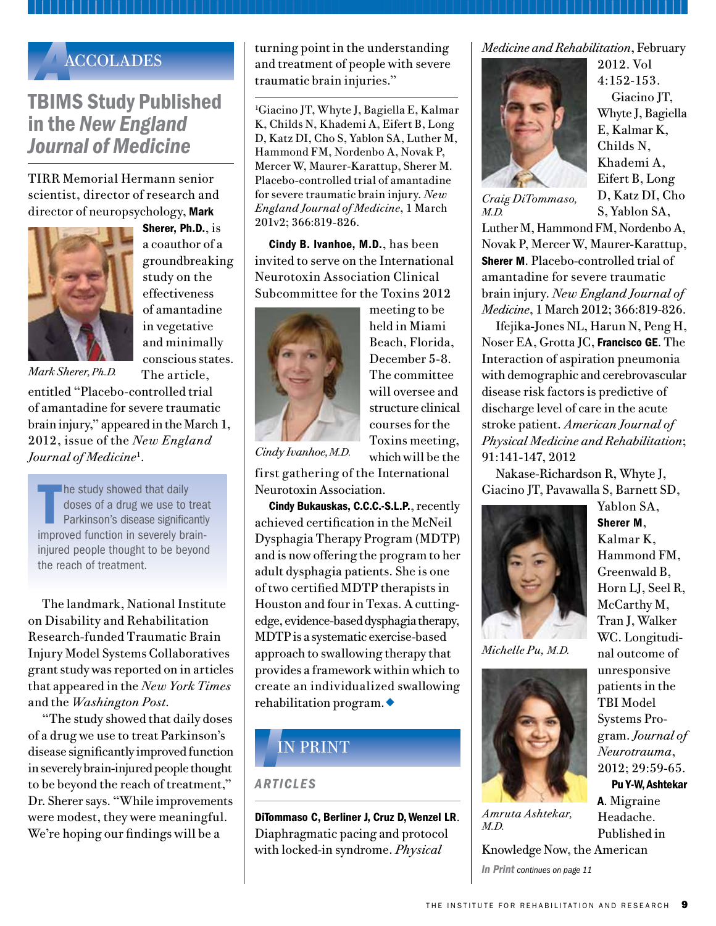

## TBIMS Study Published in the *New England Journal of Medicine*

TIRR Memorial Hermann senior scientist, director of research and director of neuropsychology, Mark



Sherer, Ph.D., is a coauthor of a groundbreaking study on the effectiveness of amantadine in vegetative and minimally conscious states. The article,

*Mark Sherer, Ph.D.* 

entitled "Placebo-controlled trial of amantadine for severe traumatic brain injury," appeared in the March 1, 2012, issue of the *New England Journal of Medicine*<sup>1</sup> .

In the study showed that daily<br>doses of a drug we use to trea<br>Parkinson's disease significantly<br>improved function in severely brain**he study showed that daily** doses of a drug we use to treat Parkinson's disease significantly injured people thought to be beyond the reach of treatment.

The landmark, National Institute on Disability and Rehabilitation Research-funded Traumatic Brain Injury Model Systems Collaboratives grant study was reported on in articles that appeared in the *New York Times* and the *Washington Post*.

"The study showed that daily doses of a drug we use to treat Parkinson's disease significantly improved function in severely brain-injured people thought to be beyond the reach of treatment," Dr. Sherer says. "While improvements were modest, they were meaningful. We're hoping our findings will be a

turning point in the understanding and treatment of people with severe traumatic brain injuries."

1 Giacino JT, Whyte J, Bagiella E, Kalmar K, Childs N, Khademi A, Eifert B, Long D, Katz DI, Cho S, Yablon SA, Luther M, Hammond FM, Nordenbo A, Novak P, Mercer W, Maurer-Karattup, Sherer M. Placebo-controlled trial of amantadine for severe traumatic brain injury. *New England Journal of Medicine*, 1 March 201v2; 366:819-826.

Cindy B. Ivanhoe, M.D., has been invited to serve on the International Neurotoxin Association Clinical Subcommittee for the Toxins 2012



meeting to be held in Miami Beach, Florida, December 5-8. The committee will oversee and structure clinical courses for the Toxins meeting, which will be the

*Cindy Ivanhoe, M.D.*

first gathering of the International Neurotoxin Association.

Cindy Bukauskas, C.C.C.-S.L.P., recently achieved certification in the McNeil Dysphagia Therapy Program (MDTP) and is now offering the program to her adult dysphagia patients. She is one of two certified MDTP therapists in Houston and four in Texas. A cuttingedge, evidence-based dysphagia therapy, MDTP is a systematic exercise-based approach to swallowing therapy that provides a framework within which to create an individualized swallowing rehabilitation program. $\bullet$ 

### *I*IN PRINT

*Articles*

DiTommaso C, Berliner J, Cruz D, Wenzel LR. Diaphragmatic pacing and protocol with locked-in syndrome. *Physical* 

*Medicine and Rehabilitation*, February



*Craig DiTommaso,* 

*M.D.*

2012. Vol 4:152-153. Giacino JT, Whyte J, Bagiella E, Kalmar K, Childs N, Khademi A, Eifert B, Long D, Katz DI, Cho S, Yablon SA,

Luther M, Hammond FM, Nordenbo A, Novak P, Mercer W, Maurer-Karattup, Sherer M. Placebo-controlled trial of amantadine for severe traumatic brain injury. *New England Journal of Medicine*, 1 March 2012; 366:819-826.

Ifejika-Jones NL, Harun N, Peng H, Noser EA, Grotta JC, Francisco GE. The Interaction of aspiration pneumonia with demographic and cerebrovascular disease risk factors is predictive of discharge level of care in the acute stroke patient. *American Journal of Physical Medicine and Rehabilitation*; 91:141-147, 2012

Nakase-Richardson R, Whyte J, Giacino JT, Pavawalla S, Barnett SD,



*Michelle Pu, M.D.*



*Amruta Ashtekar, M.D.*

*In Print continues on page 11*

Sherer M, Kalmar K, Hammond FM, Greenwald B, Horn LJ, Seel R, McCarthy M, Tran J, Walker WC. Longitudinal outcome of unresponsive patients in the TBI Model Systems Program. *Journal of Neurotrauma*, 2012; 29:59-65.

Yablon SA,

Pu Y-W, Ashtekar A. Migraine Headache. Published in Knowledge Now, the American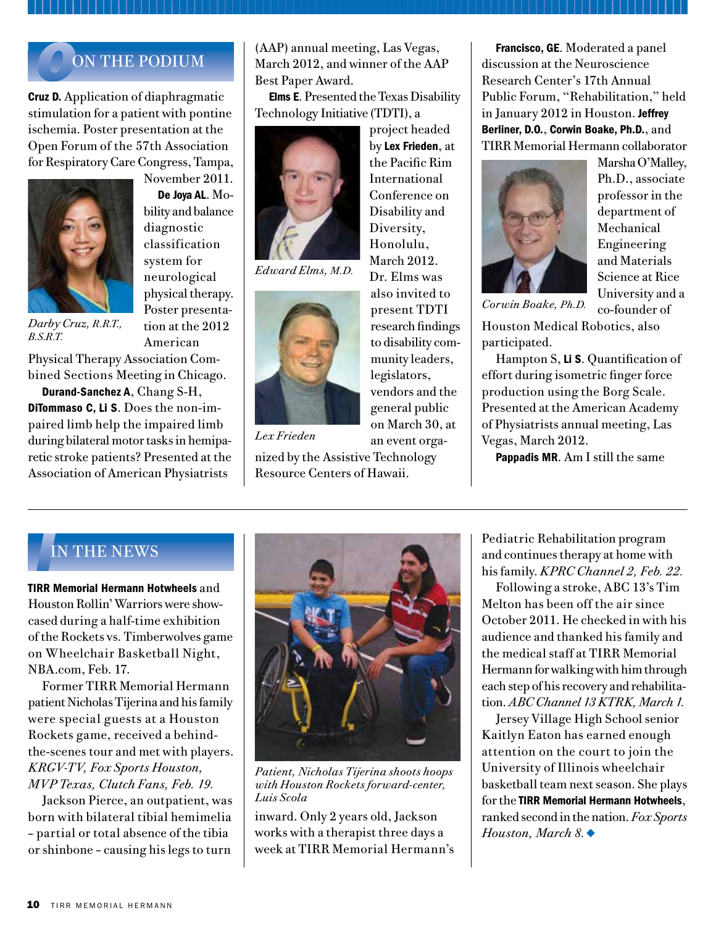### *O*ON THE PODIUM

Cruz D. Application of diaphragmatic stimulation for a patient with pontine ischemia. Poster presentation at the Open Forum of the 57th Association for Respiratory Care Congress, Tampa,



November 2011. De Joya AL. Mobility and balance diagnostic classification system for neurological physical therapy. Poster presentation at the 2012 American

*Darby Cruz, R.R.T., B.S.R.T.*

Physical Therapy Association Combined Sections Meeting in Chicago.

Durand-Sanchez A, Chang S-H, DiTommaso C, Li S. Does the non-impaired limb help the impaired limb during bilateral motor tasks in hemiparetic stroke patients? Presented at the Association of American Physiatrists

(AAP) annual meeting, Las Vegas, March 2012, and winner of the AAP Best Paper Award.

Elms E. Presented the Texas Disability Technology Initiative (TDTI), a

> project headed by Lex Frieden, at the Pacific Rim International Conference on Disability and Diversity, Honolulu, March 2012. Dr. Elms was also invited to present TDTI research findings to disability community leaders, legislators, vendors and the general public on March 30, at an event orga-



*Edward Elms, M.D.*



*Lex Frieden*

nized by the Assistive Technology Resource Centers of Hawaii.

Francisco, GE. Moderated a panel discussion at the Neuroscience Research Center's 17th Annual Public Forum, "Rehabilitation," held in January 2012 in Houston. Jeffrey Berliner, D.O., Corwin Boake, Ph.D., and TIRR Memorial Hermann collaborator



Marsha O'Malley, Ph.D., associate professor in the department of Mechanical Engineering and Materials Science at Rice University and a co-founder of

*Corwin Boake, Ph.D.*

Houston Medical Robotics, also participated.

Hampton S, Li S. Quantification of effort during isometric finger force production using the Borg Scale. Presented at the American Academy of Physiatrists annual meeting, Las Vegas, March 2012.

Pappadis MR. Am I still the same

### *I*IN THE NEWS

TIRR Memorial Hermann Hotwheels and Houston Rollin' Warriors were showcased during a half-time exhibition of the Rockets vs. Timberwolves game on Wheelchair Basketball Night, NBA.com, Feb. 17.

Former TIRR Memorial Hermann patient Nicholas Tijerina and his family were special guests at a Houston Rockets game, received a behindthe-scenes tour and met with players. *KRGV-TV, Fox Sports Houston, MVP Texas, Clutch Fans, Feb. 19.*

Jackson Pierce, an outpatient, was born with bilateral tibial hemimelia – partial or total absence of the tibia or shinbone – causing his legs to turn



*Patient, Nicholas Tijerina shoots hoops with Houston Rockets forward-center, Luis Scola*

inward. Only 2 years old, Jackson works with a therapist three days a week at TIRR Memorial Hermann's Pediatric Rehabilitation program and continues therapy at home with his family. *KPRC Channel 2, Feb. 22.*

Following a stroke, ABC 13's Tim Melton has been off the air since October 2011. He checked in with his audience and thanked his family and the medical staff at TIRR Memorial Hermann for walking with him through each step of his recovery and rehabilitation. *ABC Channel 13 KTRK, March 1.*

Jersey Village High School senior Kaitlyn Eaton has earned enough attention on the court to join the University of Illinois wheelchair basketball team next season. She plays for the TIRR Memorial Hermann Hotwheels, ranked second in the nation. *Fox Sports Houston, March 8.* ♦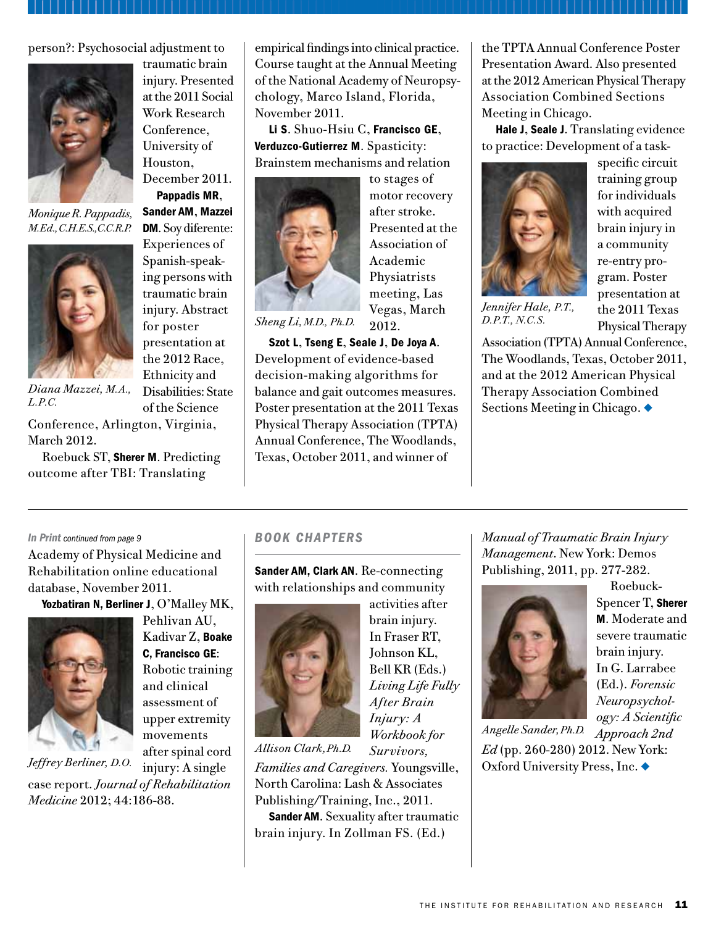person?: Psychosocial adjustment to



*Monique R. Pappadis, M.Ed., C.H.E.S., C.C.R.P.*



*Diana Mazzei, M.A.,* 

traumatic brain injury. Presented at the 2011 Social Work Research Conference, University of Houston, December 2011.

Pappadis MR, Sander AM, Mazzei DM. Soy diferente: Experiences of Spanish-speaking persons with traumatic brain injury. Abstract for poster presentation at the 2012 Race, Ethnicity and Disabilities: State of the Science

*L.P.C.*

Conference, Arlington, Virginia, March 2012.

Roebuck ST, Sherer M. Predicting outcome after TBI: Translating

empirical findings into clinical practice. Course taught at the Annual Meeting of the National Academy of Neuropsychology, Marco Island, Florida, November 2011.

Li S. Shuo-Hsiu C, Francisco GE, Verduzco-Gutierrez M. Spasticity: Brainstem mechanisms and relation



to stages of motor recovery after stroke. Presented at the Association of Academic Physiatrists meeting, Las Vegas, March 2012.

*Sheng Li, M.D., Ph.D.*

Szot L, Tseng E, Seale J, De Joya A. Development of evidence-based decision-making algorithms for balance and gait outcomes measures. Poster presentation at the 2011 Texas Physical Therapy Association (TPTA) Annual Conference, The Woodlands, Texas, October 2011, and winner of

the TPTA Annual Conference Poster Presentation Award. Also presented at the 2012 American Physical Therapy Association Combined Sections Meeting in Chicago.

Hale J, Seale J. Translating evidence to practice: Development of a task-



*Jennifer Hale, P.T., D.P.T., N.C.S.*

specific circuit training group for individuals with acquired brain injury in a community re-entry program. Poster presentation at the 2011 Texas Physical Therapy

Association (TPTA) Annual Conference, The Woodlands, Texas, October 2011, and at the 2012 American Physical Therapy Association Combined Sections Meeting in Chicago.  $\blacklozenge$ 

#### *In Print continued from page 9*

Academy of Physical Medicine and Rehabilitation online educational database, November 2011.

Yozbatiran N, Berliner J, O'Malley MK,



Pehlivan AU, Kadivar Z, Boake C, Francisco GE: Robotic training and clinical assessment of upper extremity movements after spinal cord

injury: A single case report. *Journal of Rehabilitation Medicine* 2012; 44:186-88. *Jeffrey Berliner, D.O.*

#### *Book Chapters*

Sander AM, Clark AN. Re-connecting with relationships and community

> activities after brain injury. In Fraser RT, Johnson KL, Bell KR (Eds.) *Living Life Fully After Brain Injury: A Workbook for Survivors,*



*Allison Clark, Ph.D.*

*Families and Caregivers.* Youngsville, North Carolina: Lash & Associates Publishing/Training, Inc., 2011.

Sander AM. Sexuality after traumatic brain injury. In Zollman FS. (Ed.)

*Manual of Traumatic Brain Injury Management*. New York: Demos Publishing, 2011, pp. 277-282.



Roebuck-Spencer T, Sherer M. Moderate and severe traumatic brain injury. In G. Larrabee (Ed.). *Forensic Neuropsychology: A Scientific* 

*Approach 2nd Angelle Sander, Ph.D. Ed* (pp. 260-280) 2012. New York: Oxford University Press, Inc. ♦